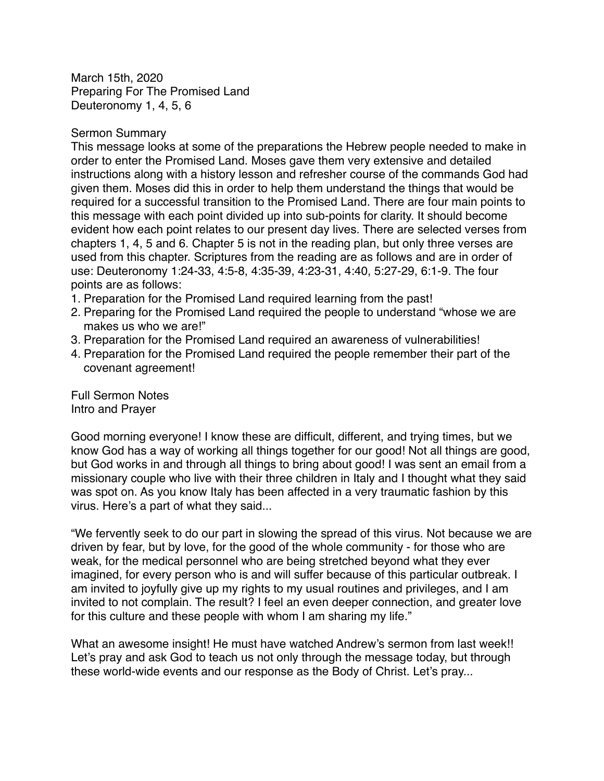March 15th, 2020 Preparing For The Promised Land Deuteronomy 1, 4, 5, 6

#### Sermon Summary

This message looks at some of the preparations the Hebrew people needed to make in order to enter the Promised Land. Moses gave them very extensive and detailed instructions along with a history lesson and refresher course of the commands God had given them. Moses did this in order to help them understand the things that would be required for a successful transition to the Promised Land. There are four main points to this message with each point divided up into sub-points for clarity. It should become evident how each point relates to our present day lives. There are selected verses from chapters 1, 4, 5 and 6. Chapter 5 is not in the reading plan, but only three verses are used from this chapter. Scriptures from the reading are as follows and are in order of use: Deuteronomy 1:24-33, 4:5-8, 4:35-39, 4:23-31, 4:40, 5:27-29, 6:1-9. The four points are as follows:

- 1. Preparation for the Promised Land required learning from the past!
- 2. Preparing for the Promised Land required the people to understand "whose we are makes us who we are!"
- 3. Preparation for the Promised Land required an awareness of vulnerabilities!
- 4. Preparation for the Promised Land required the people remember their part of the covenant agreement!

Full Sermon Notes Intro and Prayer

Good morning everyone! I know these are difficult, different, and trying times, but we know God has a way of working all things together for our good! Not all things are good, but God works in and through all things to bring about good! I was sent an email from a missionary couple who live with their three children in Italy and I thought what they said was spot on. As you know Italy has been affected in a very traumatic fashion by this virus. Here's a part of what they said...

"We fervently seek to do our part in slowing the spread of this virus. Not because we are driven by fear, but by love, for the good of the whole community - for those who are weak, for the medical personnel who are being stretched beyond what they ever imagined, for every person who is and will suffer because of this particular outbreak. I am invited to joyfully give up my rights to my usual routines and privileges, and I am invited to not complain. The result? I feel an even deeper connection, and greater love for this culture and these people with whom I am sharing my life."

What an awesome insight! He must have watched Andrew's sermon from last week!! Let's pray and ask God to teach us not only through the message today, but through these world-wide events and our response as the Body of Christ. Let's pray...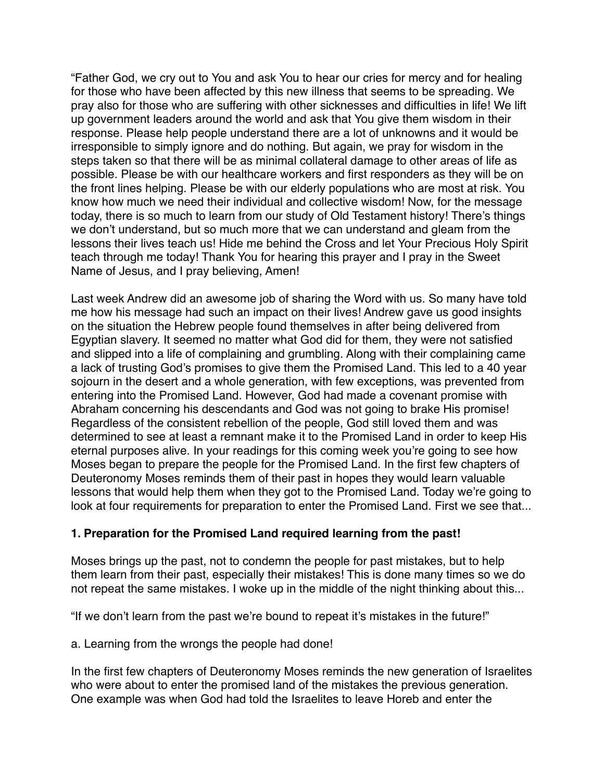"Father God, we cry out to You and ask You to hear our cries for mercy and for healing for those who have been affected by this new illness that seems to be spreading. We pray also for those who are suffering with other sicknesses and difficulties in life! We lift up government leaders around the world and ask that You give them wisdom in their response. Please help people understand there are a lot of unknowns and it would be irresponsible to simply ignore and do nothing. But again, we pray for wisdom in the steps taken so that there will be as minimal collateral damage to other areas of life as possible. Please be with our healthcare workers and first responders as they will be on the front lines helping. Please be with our elderly populations who are most at risk. You know how much we need their individual and collective wisdom! Now, for the message today, there is so much to learn from our study of Old Testament history! There's things we don't understand, but so much more that we can understand and gleam from the lessons their lives teach us! Hide me behind the Cross and let Your Precious Holy Spirit teach through me today! Thank You for hearing this prayer and I pray in the Sweet Name of Jesus, and I pray believing, Amen!

Last week Andrew did an awesome job of sharing the Word with us. So many have told me how his message had such an impact on their lives! Andrew gave us good insights on the situation the Hebrew people found themselves in after being delivered from Egyptian slavery. It seemed no matter what God did for them, they were not satisfied and slipped into a life of complaining and grumbling. Along with their complaining came a lack of trusting God's promises to give them the Promised Land. This led to a 40 year sojourn in the desert and a whole generation, with few exceptions, was prevented from entering into the Promised Land. However, God had made a covenant promise with Abraham concerning his descendants and God was not going to brake His promise! Regardless of the consistent rebellion of the people, God still loved them and was determined to see at least a remnant make it to the Promised Land in order to keep His eternal purposes alive. In your readings for this coming week you're going to see how Moses began to prepare the people for the Promised Land. In the first few chapters of Deuteronomy Moses reminds them of their past in hopes they would learn valuable lessons that would help them when they got to the Promised Land. Today we're going to look at four requirements for preparation to enter the Promised Land. First we see that...

### **1. Preparation for the Promised Land required learning from the past!**

Moses brings up the past, not to condemn the people for past mistakes, but to help them learn from their past, especially their mistakes! This is done many times so we do not repeat the same mistakes. I woke up in the middle of the night thinking about this...

"If we don't learn from the past we're bound to repeat it's mistakes in the future!"

a. Learning from the wrongs the people had done!

In the first few chapters of Deuteronomy Moses reminds the new generation of Israelites who were about to enter the promised land of the mistakes the previous generation. One example was when God had told the Israelites to leave Horeb and enter the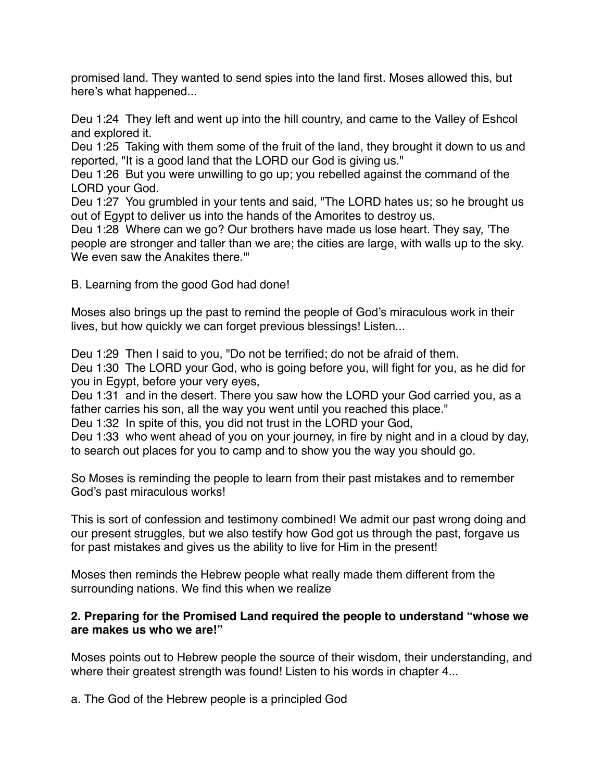promised land. They wanted to send spies into the land first. Moses allowed this, but here's what happened...

Deu 1:24 They left and went up into the hill country, and came to the Valley of Eshcol and explored it.

Deu 1:25 Taking with them some of the fruit of the land, they brought it down to us and reported, "It is a good land that the LORD our God is giving us."

Deu 1:26 But you were unwilling to go up; you rebelled against the command of the LORD your God.

Deu 1:27 You grumbled in your tents and said, "The LORD hates us; so he brought us out of Egypt to deliver us into the hands of the Amorites to destroy us.

Deu 1:28 Where can we go? Our brothers have made us lose heart. They say, 'The people are stronger and taller than we are; the cities are large, with walls up to the sky. We even saw the Anakites there."

B. Learning from the good God had done!

Moses also brings up the past to remind the people of God's miraculous work in their lives, but how quickly we can forget previous blessings! Listen...

Deu 1:29 Then I said to you, "Do not be terrified; do not be afraid of them. Deu 1:30 The LORD your God, who is going before you, will fight for you, as he did for you in Egypt, before your very eyes,

Deu 1:31 and in the desert. There you saw how the LORD your God carried you, as a father carries his son, all the way you went until you reached this place."

Deu 1:32 In spite of this, you did not trust in the LORD your God,

Deu 1:33 who went ahead of you on your journey, in fire by night and in a cloud by day, to search out places for you to camp and to show you the way you should go.

So Moses is reminding the people to learn from their past mistakes and to remember God's past miraculous works!

This is sort of confession and testimony combined! We admit our past wrong doing and our present struggles, but we also testify how God got us through the past, forgave us for past mistakes and gives us the ability to live for Him in the present!

Moses then reminds the Hebrew people what really made them different from the surrounding nations. We find this when we realize

### **2. Preparing for the Promised Land required the people to understand "whose we are makes us who we are!"**

Moses points out to Hebrew people the source of their wisdom, their understanding, and where their greatest strength was found! Listen to his words in chapter 4...

a. The God of the Hebrew people is a principled God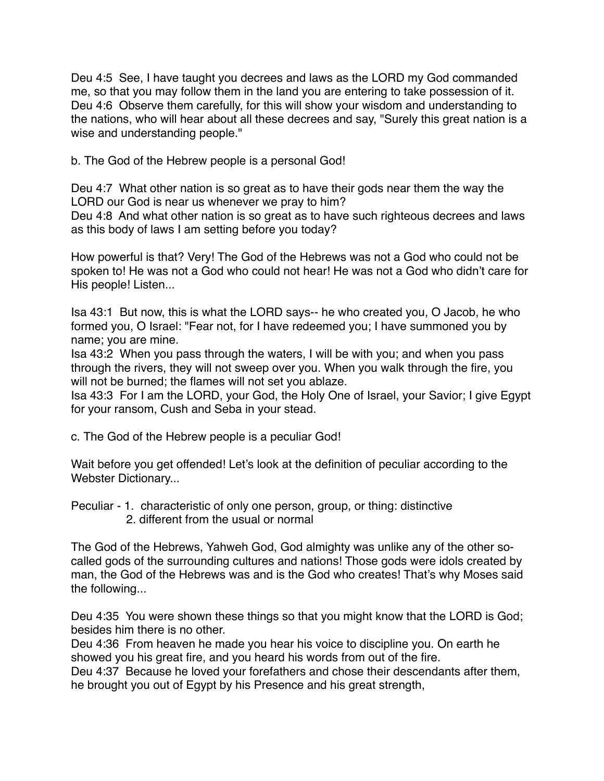Deu 4:5 See, I have taught you decrees and laws as the LORD my God commanded me, so that you may follow them in the land you are entering to take possession of it. Deu 4:6 Observe them carefully, for this will show your wisdom and understanding to the nations, who will hear about all these decrees and say, "Surely this great nation is a wise and understanding people."

b. The God of the Hebrew people is a personal God!

Deu 4:7 What other nation is so great as to have their gods near them the way the LORD our God is near us whenever we pray to him?

Deu 4:8 And what other nation is so great as to have such righteous decrees and laws as this body of laws I am setting before you today?

How powerful is that? Very! The God of the Hebrews was not a God who could not be spoken to! He was not a God who could not hear! He was not a God who didn't care for His people! Listen...

Isa 43:1 But now, this is what the LORD says-- he who created you, O Jacob, he who formed you, O Israel: "Fear not, for I have redeemed you; I have summoned you by name; you are mine.

Isa 43:2 When you pass through the waters, I will be with you; and when you pass through the rivers, they will not sweep over you. When you walk through the fire, you will not be burned; the flames will not set you ablaze.

Isa 43:3 For I am the LORD, your God, the Holy One of Israel, your Savior; I give Egypt for your ransom, Cush and Seba in your stead.

c. The God of the Hebrew people is a peculiar God!

Wait before you get offended! Let's look at the definition of peculiar according to the Webster Dictionary...

Peculiar - 1. characteristic of only one person, group, or thing: [distinctive](https://www.merriam-webster.com/dictionary/distinctive) 2. different from the usual or normal

The God of the Hebrews, Yahweh God, God almighty was unlike any of the other socalled gods of the surrounding cultures and nations! Those gods were idols created by man, the God of the Hebrews was and is the God who creates! That's why Moses said the following...

Deu 4:35 You were shown these things so that you might know that the LORD is God; besides him there is no other.

Deu 4:36 From heaven he made you hear his voice to discipline you. On earth he showed you his great fire, and you heard his words from out of the fire.

Deu 4:37 Because he loved your forefathers and chose their descendants after them, he brought you out of Egypt by his Presence and his great strength,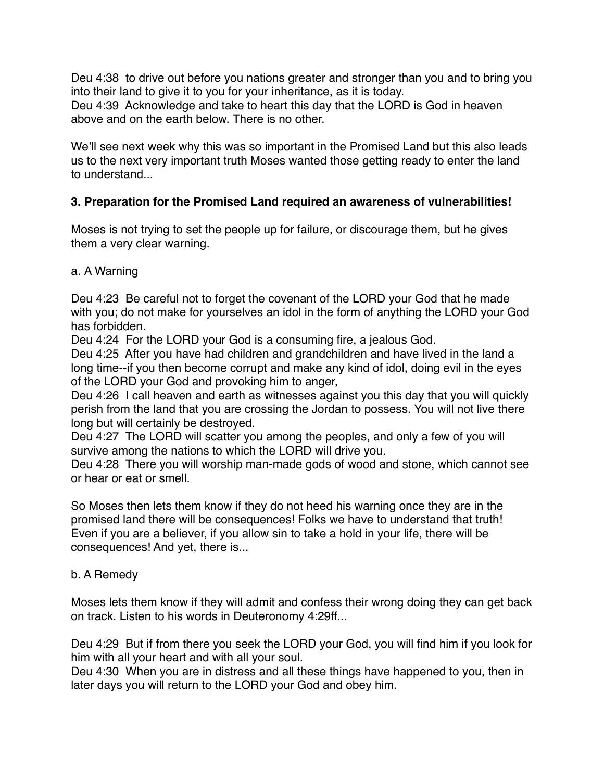Deu 4:38 to drive out before you nations greater and stronger than you and to bring you into their land to give it to you for your inheritance, as it is today. Deu 4:39 Acknowledge and take to heart this day that the LORD is God in heaven above and on the earth below. There is no other.

We'll see next week why this was so important in the Promised Land but this also leads us to the next very important truth Moses wanted those getting ready to enter the land to understand...

# **3. Preparation for the Promised Land required an awareness of vulnerabilities!**

Moses is not trying to set the people up for failure, or discourage them, but he gives them a very clear warning.

## a. A Warning

Deu 4:23 Be careful not to forget the covenant of the LORD your God that he made with you; do not make for yourselves an idol in the form of anything the LORD your God has forbidden.

Deu 4:24 For the LORD your God is a consuming fire, a jealous God.

Deu 4:25 After you have had children and grandchildren and have lived in the land a long time--if you then become corrupt and make any kind of idol, doing evil in the eyes of the LORD your God and provoking him to anger,

Deu 4:26 I call heaven and earth as witnesses against you this day that you will quickly perish from the land that you are crossing the Jordan to possess. You will not live there long but will certainly be destroyed.

Deu 4:27 The LORD will scatter you among the peoples, and only a few of you will survive among the nations to which the LORD will drive you.

Deu 4:28 There you will worship man-made gods of wood and stone, which cannot see or hear or eat or smell.

So Moses then lets them know if they do not heed his warning once they are in the promised land there will be consequences! Folks we have to understand that truth! Even if you are a believer, if you allow sin to take a hold in your life, there will be consequences! And yet, there is...

### b. A Remedy

Moses lets them know if they will admit and confess their wrong doing they can get back on track. Listen to his words in Deuteronomy 4:29ff...

Deu 4:29 But if from there you seek the LORD your God, you will find him if you look for him with all your heart and with all your soul.

Deu 4:30 When you are in distress and all these things have happened to you, then in later days you will return to the LORD your God and obey him.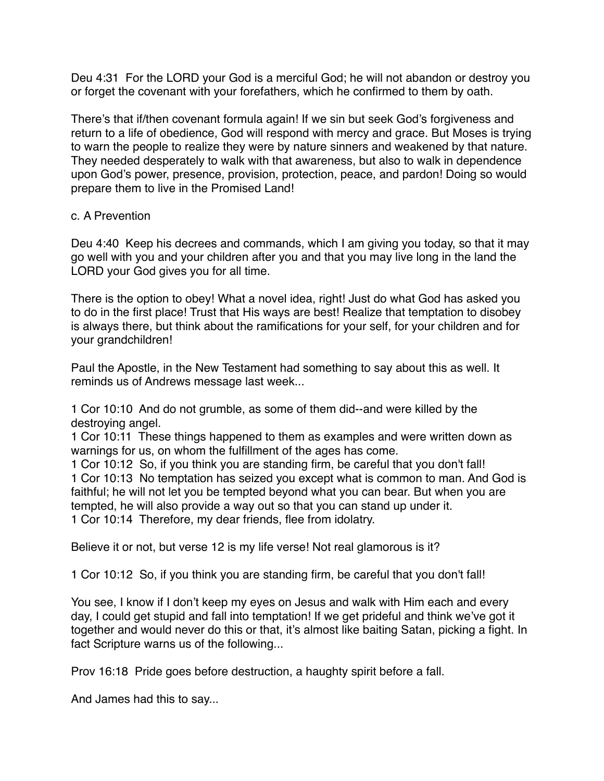Deu 4:31 For the LORD your God is a merciful God; he will not abandon or destroy you or forget the covenant with your forefathers, which he confirmed to them by oath.

There's that if/then covenant formula again! If we sin but seek God's forgiveness and return to a life of obedience, God will respond with mercy and grace. But Moses is trying to warn the people to realize they were by nature sinners and weakened by that nature. They needed desperately to walk with that awareness, but also to walk in dependence upon God's power, presence, provision, protection, peace, and pardon! Doing so would prepare them to live in the Promised Land!

#### c. A Prevention

Deu 4:40 Keep his decrees and commands, which I am giving you today, so that it may go well with you and your children after you and that you may live long in the land the LORD your God gives you for all time.

There is the option to obey! What a novel idea, right! Just do what God has asked you to do in the first place! Trust that His ways are best! Realize that temptation to disobey is always there, but think about the ramifications for your self, for your children and for your grandchildren!

Paul the Apostle, in the New Testament had something to say about this as well. It reminds us of Andrews message last week...

1 Cor 10:10 And do not grumble, as some of them did--and were killed by the destroying angel.

1 Cor 10:11 These things happened to them as examples and were written down as warnings for us, on whom the fulfillment of the ages has come.

1 Cor 10:12 So, if you think you are standing firm, be careful that you don't fall! 1 Cor 10:13 No temptation has seized you except what is common to man. And God is faithful; he will not let you be tempted beyond what you can bear. But when you are tempted, he will also provide a way out so that you can stand up under it. 1 Cor 10:14 Therefore, my dear friends, flee from idolatry.

Believe it or not, but verse 12 is my life verse! Not real glamorous is it?

1 Cor 10:12 So, if you think you are standing firm, be careful that you don't fall!

You see, I know if I don't keep my eyes on Jesus and walk with Him each and every day, I could get stupid and fall into temptation! If we get prideful and think we've got it together and would never do this or that, it's almost like baiting Satan, picking a fight. In fact Scripture warns us of the following...

Prov 16:18 Pride goes before destruction, a haughty spirit before a fall.

And James had this to say...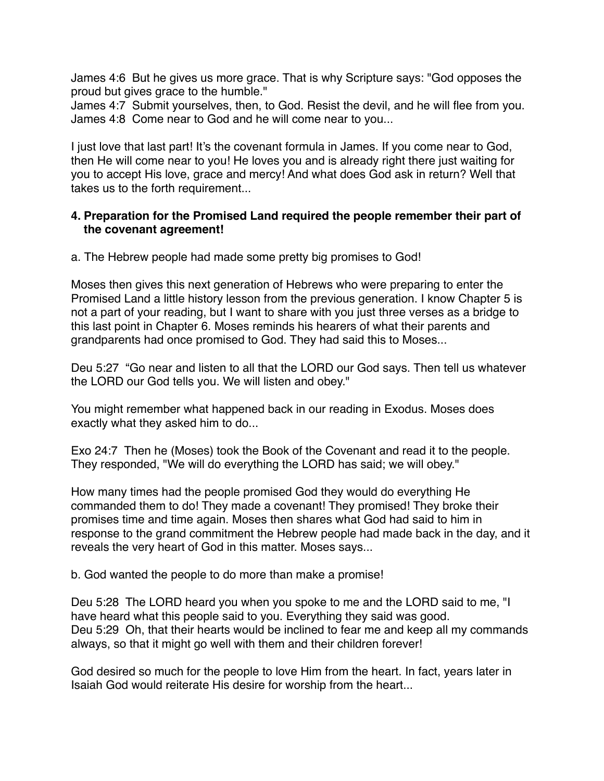James 4:6 But he gives us more grace. That is why Scripture says: "God opposes the proud but gives grace to the humble."

James 4:7 Submit yourselves, then, to God. Resist the devil, and he will flee from you. James 4:8 Come near to God and he will come near to you...

I just love that last part! It's the covenant formula in James. If you come near to God, then He will come near to you! He loves you and is already right there just waiting for you to accept His love, grace and mercy! And what does God ask in return? Well that takes us to the forth requirement...

## **4. Preparation for the Promised Land required the people remember their part of the covenant agreement!**

a. The Hebrew people had made some pretty big promises to God!

Moses then gives this next generation of Hebrews who were preparing to enter the Promised Land a little history lesson from the previous generation. I know Chapter 5 is not a part of your reading, but I want to share with you just three verses as a bridge to this last point in Chapter 6. Moses reminds his hearers of what their parents and grandparents had once promised to God. They had said this to Moses...

Deu 5:27 "Go near and listen to all that the LORD our God says. Then tell us whatever the LORD our God tells you. We will listen and obey."

You might remember what happened back in our reading in Exodus. Moses does exactly what they asked him to do...

Exo 24:7 Then he (Moses) took the Book of the Covenant and read it to the people. They responded, "We will do everything the LORD has said; we will obey."

How many times had the people promised God they would do everything He commanded them to do! They made a covenant! They promised! They broke their promises time and time again. Moses then shares what God had said to him in response to the grand commitment the Hebrew people had made back in the day, and it reveals the very heart of God in this matter. Moses says...

b. God wanted the people to do more than make a promise!

Deu 5:28 The LORD heard you when you spoke to me and the LORD said to me, "I have heard what this people said to you. Everything they said was good. Deu 5:29 Oh, that their hearts would be inclined to fear me and keep all my commands always, so that it might go well with them and their children forever!

God desired so much for the people to love Him from the heart. In fact, years later in Isaiah God would reiterate His desire for worship from the heart...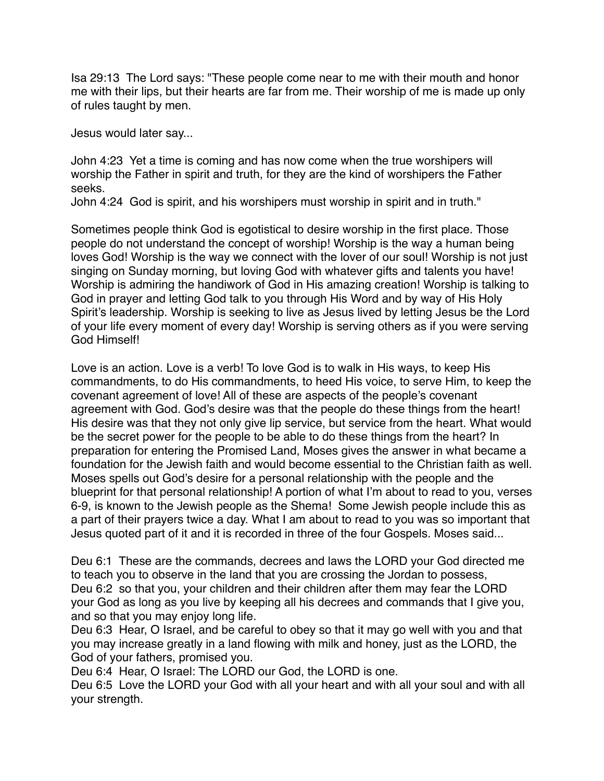Isa 29:13 The Lord says: "These people come near to me with their mouth and honor me with their lips, but their hearts are far from me. Their worship of me is made up only of rules taught by men.

Jesus would later say...

John 4:23 Yet a time is coming and has now come when the true worshipers will worship the Father in spirit and truth, for they are the kind of worshipers the Father seeks.

John 4:24 God is spirit, and his worshipers must worship in spirit and in truth."

Sometimes people think God is egotistical to desire worship in the first place. Those people do not understand the concept of worship! Worship is the way a human being loves God! Worship is the way we connect with the lover of our soul! Worship is not just singing on Sunday morning, but loving God with whatever gifts and talents you have! Worship is admiring the handiwork of God in His amazing creation! Worship is talking to God in prayer and letting God talk to you through His Word and by way of His Holy Spirit's leadership. Worship is seeking to live as Jesus lived by letting Jesus be the Lord of your life every moment of every day! Worship is serving others as if you were serving God Himself!

Love is an action. Love is a verb! To love God is to walk in His ways, to keep His commandments, to do His commandments, to heed His voice, to serve Him, to keep the covenant agreement of love! All of these are aspects of the people's covenant agreement with God. God's desire was that the people do these things from the heart! His desire was that they not only give lip service, but service from the heart. What would be the secret power for the people to be able to do these things from the heart? In preparation for entering the Promised Land, Moses gives the answer in what became a foundation for the Jewish faith and would become essential to the Christian faith as well. Moses spells out God's desire for a personal relationship with the people and the blueprint for that personal relationship! A portion of what I'm about to read to you, verses 6-9, is known to the Jewish people as the Shema! Some Jewish people include this as a part of their prayers twice a day. What I am about to read to you was so important that Jesus quoted part of it and it is recorded in three of the four Gospels. Moses said...

Deu 6:1 These are the commands, decrees and laws the LORD your God directed me to teach you to observe in the land that you are crossing the Jordan to possess, Deu 6:2 so that you, your children and their children after them may fear the LORD your God as long as you live by keeping all his decrees and commands that I give you, and so that you may enjoy long life.

Deu 6:3 Hear, O Israel, and be careful to obey so that it may go well with you and that you may increase greatly in a land flowing with milk and honey, just as the LORD, the God of your fathers, promised you.

Deu 6:4 Hear, O Israel: The LORD our God, the LORD is one.

Deu 6:5 Love the LORD your God with all your heart and with all your soul and with all your strength.